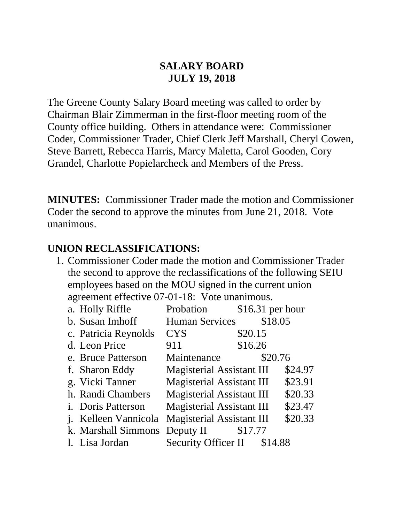#### **SALARY BOARD JULY 19, 2018**

The Greene County Salary Board meeting was called to order by Chairman Blair Zimmerman in the first-floor meeting room of the County office building. Others in attendance were: Commissioner Coder, Commissioner Trader, Chief Clerk Jeff Marshall, Cheryl Cowen, Steve Barrett, Rebecca Harris, Marcy Maletta, Carol Gooden, Cory Grandel, Charlotte Popielarcheck and Members of the Press.

**MINUTES:** Commissioner Trader made the motion and Commissioner Coder the second to approve the minutes from June 21, 2018. Vote unanimous.

#### **UNION RECLASSIFICATIONS:**

1. Commissioner Coder made the motion and Commissioner Trader the second to approve the reclassifications of the following SEIU employees based on the MOU signed in the current union agreement effective 07-01-18: Vote unanimous.

| a. Holly Riffle             | Probation                        | \$16.31 per hour |         |
|-----------------------------|----------------------------------|------------------|---------|
| b. Susan Imhoff             | <b>Human Services</b>            | \$18.05          |         |
| c. Patricia Reynolds        | <b>CYS</b>                       | \$20.15          |         |
| d. Leon Price               | 911                              | \$16.26          |         |
| e. Bruce Patterson          | Maintenance                      | \$20.76          |         |
| f. Sharon Eddy              | <b>Magisterial Assistant III</b> |                  | \$24.97 |
| g. Vicki Tanner             | <b>Magisterial Assistant III</b> |                  | \$23.91 |
| h. Randi Chambers           | <b>Magisterial Assistant III</b> |                  | \$20.33 |
| <i>i.</i> Doris Patterson   | <b>Magisterial Assistant III</b> |                  | \$23.47 |
| <i>i.</i> Kelleen Vannicola | <b>Magisterial Assistant III</b> |                  | \$20.33 |
| k. Marshall Simmons         | Deputy II $$17.77$               |                  |         |
| 1. Lisa Jordan              | Security Officer II \$14.88      |                  |         |
|                             |                                  |                  |         |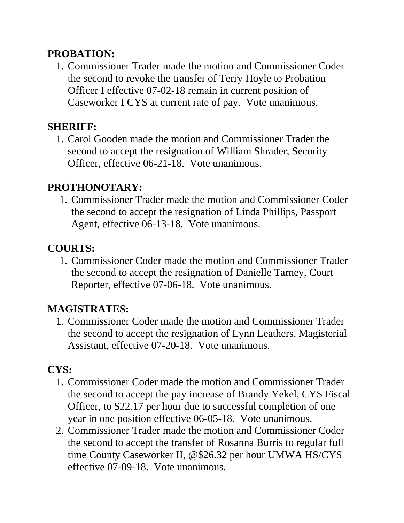#### **PROBATION:**

1. Commissioner Trader made the motion and Commissioner Coder the second to revoke the transfer of Terry Hoyle to Probation Officer I effective 07-02-18 remain in current position of Caseworker I CYS at current rate of pay. Vote unanimous.

### **SHERIFF:**

1. Carol Gooden made the motion and Commissioner Trader the second to accept the resignation of William Shrader, Security Officer, effective 06-21-18. Vote unanimous.

### **PROTHONOTARY:**

1. Commissioner Trader made the motion and Commissioner Coder the second to accept the resignation of Linda Phillips, Passport Agent, effective 06-13-18. Vote unanimous.

## **COURTS:**

1. Commissioner Coder made the motion and Commissioner Trader the second to accept the resignation of Danielle Tarney, Court Reporter, effective 07-06-18. Vote unanimous.

## **MAGISTRATES:**

1. Commissioner Coder made the motion and Commissioner Trader the second to accept the resignation of Lynn Leathers, Magisterial Assistant, effective 07-20-18. Vote unanimous.

### **CYS:**

- 1. Commissioner Coder made the motion and Commissioner Trader the second to accept the pay increase of Brandy Yekel, CYS Fiscal Officer, to \$22.17 per hour due to successful completion of one year in one position effective 06-05-18. Vote unanimous.
- 2. Commissioner Trader made the motion and Commissioner Coder the second to accept the transfer of Rosanna Burris to regular full time County Caseworker II, @\$26.32 per hour UMWA HS/CYS effective 07-09-18. Vote unanimous.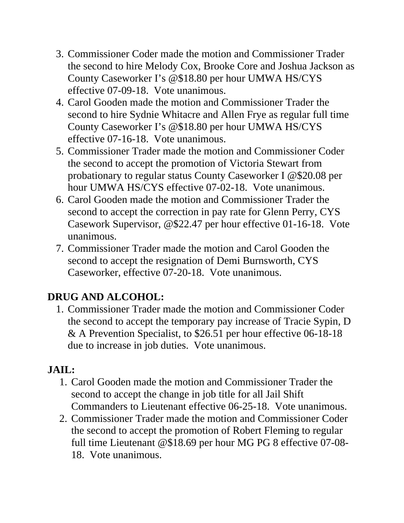- 3. Commissioner Coder made the motion and Commissioner Trader the second to hire Melody Cox, Brooke Core and Joshua Jackson as County Caseworker I's @\$18.80 per hour UMWA HS/CYS effective 07-09-18. Vote unanimous.
- 4. Carol Gooden made the motion and Commissioner Trader the second to hire Sydnie Whitacre and Allen Frye as regular full time County Caseworker I's @\$18.80 per hour UMWA HS/CYS effective 07-16-18. Vote unanimous.
- 5. Commissioner Trader made the motion and Commissioner Coder the second to accept the promotion of Victoria Stewart from probationary to regular status County Caseworker I @\$20.08 per hour UMWA HS/CYS effective 07-02-18. Vote unanimous.
- 6. Carol Gooden made the motion and Commissioner Trader the second to accept the correction in pay rate for Glenn Perry, CYS Casework Supervisor, @\$22.47 per hour effective 01-16-18. Vote unanimous.
- 7. Commissioner Trader made the motion and Carol Gooden the second to accept the resignation of Demi Burnsworth, CYS Caseworker, effective 07-20-18. Vote unanimous.

# **DRUG AND ALCOHOL:**

1. Commissioner Trader made the motion and Commissioner Coder the second to accept the temporary pay increase of Tracie Sypin, D & A Prevention Specialist, to \$26.51 per hour effective 06-18-18 due to increase in job duties. Vote unanimous.

# **JAIL:**

- 1. Carol Gooden made the motion and Commissioner Trader the second to accept the change in job title for all Jail Shift Commanders to Lieutenant effective 06-25-18. Vote unanimous.
- 2. Commissioner Trader made the motion and Commissioner Coder the second to accept the promotion of Robert Fleming to regular full time Lieutenant @\$18.69 per hour MG PG 8 effective 07-08- 18. Vote unanimous.